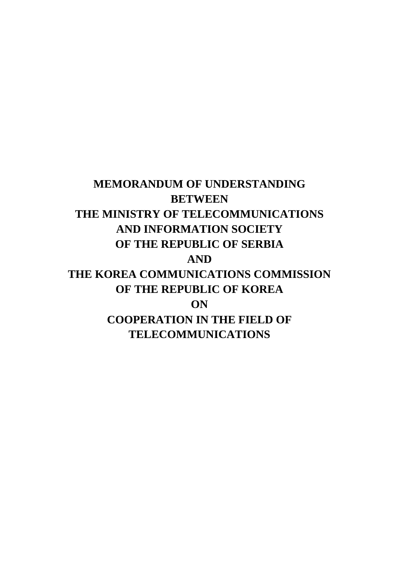**MEMORANDUM OF UNDERSTANDING BETWEEN THE MINISTRY OF TELECOMMUNICATIONS AND INFORMATION SOCIETY OF THE REPUBLIC OF SERBIA AND THE KOREA COMMUNICATIONS COMMISSION OF THE REPUBLIC OF KOREA ON COOPERATION IN THE FIELD OF TELECOMMUNICATIONS**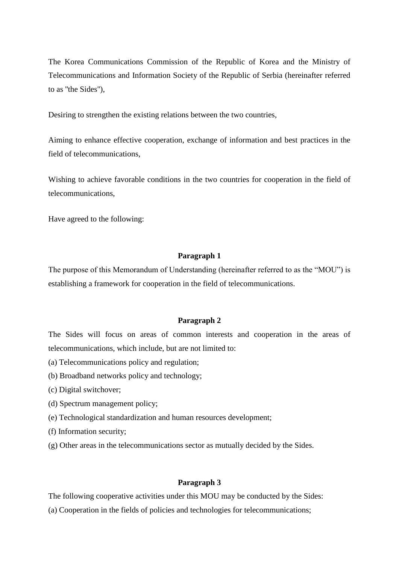The Korea Communications Commission of the Republic of Korea and the Ministry of Telecommunications and Information Society of the Republic of Serbia (hereinafter referred to as ''the Sides''),

Desiring to strengthen the existing relations between the two countries,

Aiming to enhance effective cooperation, exchange of information and best practices in the field of telecommunications,

Wishing to achieve favorable conditions in the two countries for cooperation in the field of telecommunications,

Have agreed to the following:

#### **Paragraph 1**

The purpose of this Memorandum of Understanding (hereinafter referred to as the "MOU") is establishing a framework for cooperation in the field of telecommunications.

## **Paragraph 2**

The Sides will focus on areas of common interests and cooperation in the areas of telecommunications, which include, but are not limited to:

- (a) Telecommunications policy and regulation;
- (b) Broadband networks policy and technology;
- (c) Digital switchover;
- (d) Spectrum management policy;
- (e) Technological standardization and human resources development;
- (f) Information security;
- (g) Other areas in the telecommunications sector as mutually decided by the Sides.

## **Paragraph 3**

The following cooperative activities under this MOU may be conducted by the Sides:

(a) Cooperation in the fields of policies and technologies for telecommunications;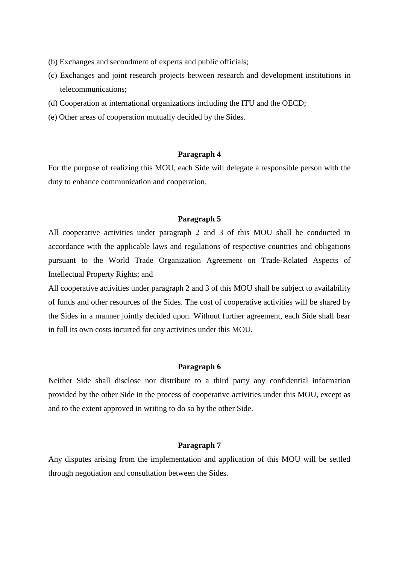- (b) Exchanges and secondment of experts and public officials;
- (c) Exchanges and joint research projects between research and development institutions in telecommunications;
- (d) Cooperation at international organizations including the ITU and the OECD;
- (e) Other areas of cooperation mutually decided by the Sides.

## **Paragraph 4**

For the purpose of realizing this MOU, each Side will delegate a responsible person with the duty to enhance communication and cooperation.

### **Paragraph 5**

All cooperative activities under paragraph 2 and 3 of this MOU shall be conducted in accordance with the applicable laws and regulations of respective countries and obligations pursuant to the World Trade Organization Agreement on Trade-Related Aspects of Intellectual Property Rights; and

All cooperative activities under paragraph 2 and 3 of this MOU shall be subject to availability of funds and other resources of the Sides. The cost of cooperative activities will be shared by the Sides in a manner jointly decided upon. Without further agreement, each Side shall bear in full its own costs incurred for any activities under this MOU.

### **Paragraph 6**

Neither Side shall disclose nor distribute to a third party any confidential information provided by the other Side in the process of cooperative activities under this MOU, except as and to the extent approved in writing to do so by the other Side.

## **Paragraph 7**

Any disputes arising from the implementation and application of this MOU will be settled through negotiation and consultation between the Sides.